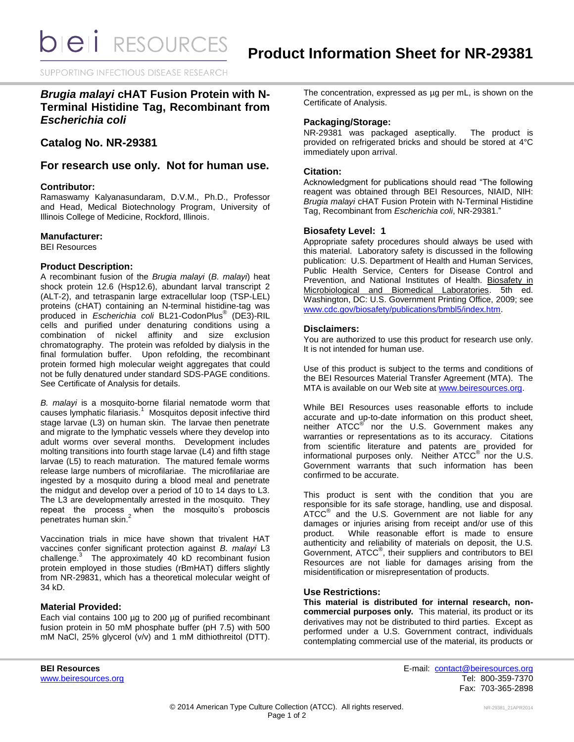**bieli** RESOURCES

SUPPORTING INFECTIOUS DISEASE RESEARCH

# *Brugia malayi* **cHAT Fusion Protein with N-Terminal Histidine Tag, Recombinant from**  *Escherichia coli*

**Catalog No. NR-29381**

**For research use only. Not for human use.**

## **Contributor:**

Ramaswamy Kalyanasundaram, D.V.M., Ph.D., Professor and Head, Medical Biotechnology Program, University of Illinois College of Medicine, Rockford, Illinois.

## **Manufacturer:**

BEI Resources

#### **Product Description:**

A recombinant fusion of the *Brugia malayi* (*B. malayi*) heat shock protein 12.6 (Hsp12.6), abundant larval transcript 2 (ALT-2), and tetraspanin large extracellular loop (TSP-LEL) proteins (cHAT) containing an N-terminal histidine-tag was produced in *Escherichia coli* BL21-CodonPlus® (DE3)-RIL cells and purified under denaturing conditions using a combination of nickel affinity and size exclusion chromatography. The protein was refolded by dialysis in the final formulation buffer. Upon refolding, the recombinant protein formed high molecular weight aggregates that could not be fully denatured under standard SDS-PAGE conditions. See Certificate of Analysis for details.

*B. malayi* is a mosquito-borne filarial nematode worm that causes lymphatic filariasis.<sup>1</sup> Mosquitos deposit infective third stage larvae (L3) on human skin. The larvae then penetrate and migrate to the lymphatic vessels where they develop into adult worms over several months. Development includes molting transitions into fourth stage larvae (L4) and fifth stage larvae (L5) to reach maturation. The matured female worms release large numbers of microfilariae. The microfilariae are ingested by a mosquito during a blood meal and penetrate the midgut and develop over a period of 10 to 14 days to L3. The L3 are developmentally arrested in the mosquito. They repeat the process when the mosquito's proboscis penetrates human skin.<sup>2</sup>

Vaccination trials in mice have shown that trivalent HAT vaccines confer significant protection against *B. malayi* L3 challenge.<sup>3</sup> The approximately 40 kD recombinant fusion protein employed in those studies (rBmHAT) differs slightly from NR-29831, which has a theoretical molecular weight of 34 kD.

# **Material Provided:**

Each vial contains 100 µg to 200 µg of purified recombinant fusion protein in 50 mM phosphate buffer (pH 7.5) with 500 mM NaCl, 25% glycerol (v/v) and 1 mM dithiothreitol (DTT). The concentration, expressed as ug per mL, is shown on the Certificate of Analysis.

## **Packaging/Storage:**

NR-29381 was packaged aseptically. The product is provided on refrigerated bricks and should be stored at 4°C immediately upon arrival.

# **Citation:**

Acknowledgment for publications should read "The following reagent was obtained through BEI Resources, NIAID, NIH: *Brugia malayi* cHAT Fusion Protein with N-Terminal Histidine Tag, Recombinant from *Escherichia coli*, NR-29381."

# **Biosafety Level: 1**

Appropriate safety procedures should always be used with this material. Laboratory safety is discussed in the following publication: U.S. Department of Health and Human Services, Public Health Service, Centers for Disease Control and Prevention, and National Institutes of Health. Biosafety in Microbiological and Biomedical Laboratories. 5th ed. Washington, DC: U.S. Government Printing Office, 2009; see [www.cdc.gov/biosafety/publications/bmbl5/index.htm.](http://www.cdc.gov/biosafety/publications/bmbl5/index.htm)

## **Disclaimers:**

You are authorized to use this product for research use only. It is not intended for human use.

Use of this product is subject to the terms and conditions of the BEI Resources Material Transfer Agreement (MTA). The MTA is available on our Web site at [www.beiresources.org.](http://www.beiresources.org/)

While BEI Resources uses reasonable efforts to include accurate and up-to-date information on this product sheet, neither ATCC<sup>®</sup> nor the U.S. Government makes any warranties or representations as to its accuracy. Citations from scientific literature and patents are provided for informational purposes only. Neither ATCC<sup>®</sup> nor the U.S. Government warrants that such information has been confirmed to be accurate.

This product is sent with the condition that you are responsible for its safe storage, handling, use and disposal. ATCC<sup>®</sup> and the U.S. Government are not liable for any damages or injuries arising from receipt and/or use of this product. While reasonable effort is made to ensure authenticity and reliability of materials on deposit, the U.S. Government, ATCC® , their suppliers and contributors to BEI Resources are not liable for damages arising from the misidentification or misrepresentation of products.

#### **Use Restrictions:**

**This material is distributed for internal research, noncommercial purposes only.** This material, its product or its derivatives may not be distributed to third parties. Except as performed under a U.S. Government contract, individuals contemplating commercial use of the material, its products or

**BEI Resources** E-mail: [contact@beiresources.org](mailto:contact@beiresources.org) [www.beiresources.org](http://www.beiresources.org/) **Tel: 800-359-7370** Fax: 703-365-2898